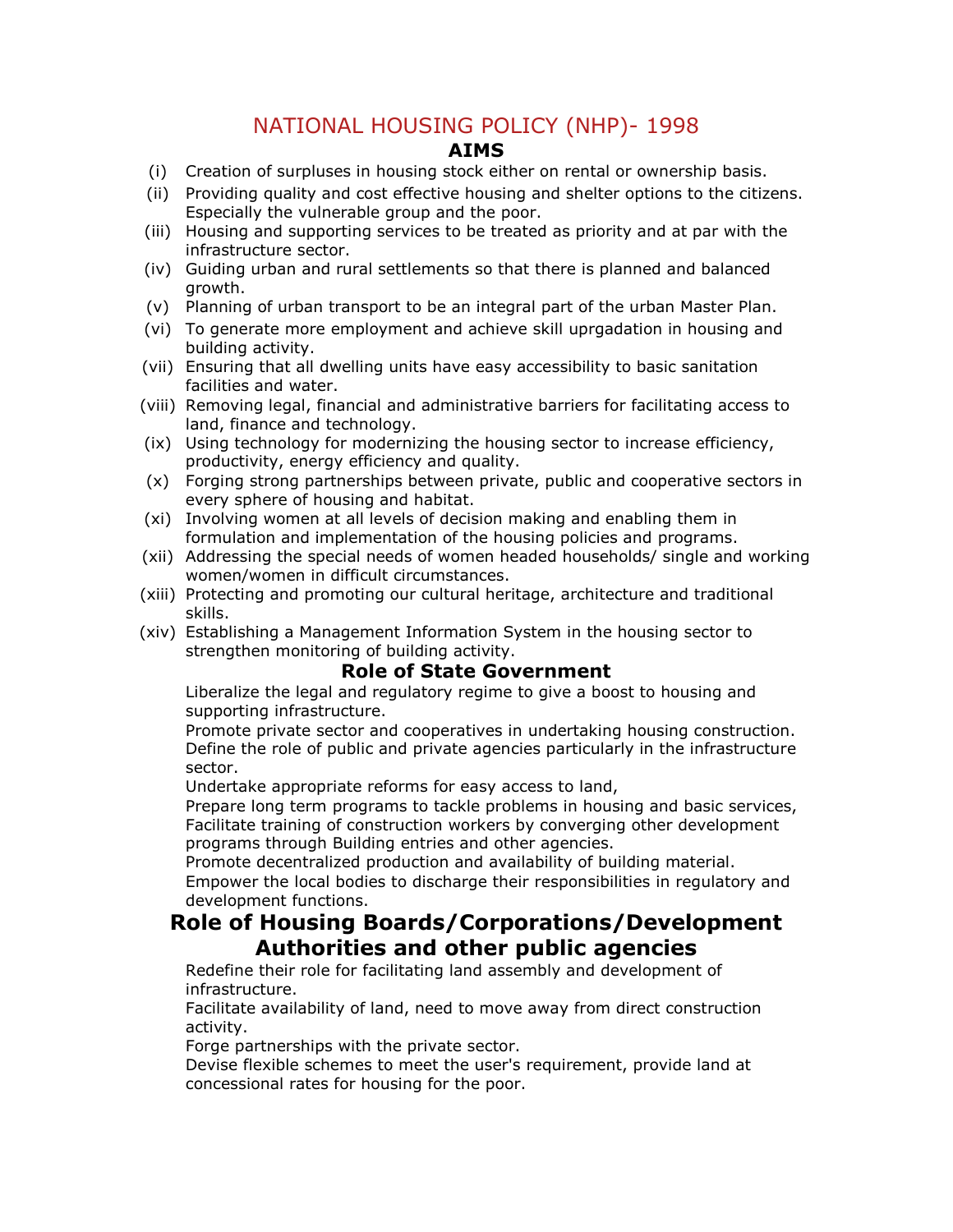# NATIONAL HOUSING POLICY (NHP)- 1998

#### **AIMS**

- (i) Creation of surpluses in housing stock either on rental or ownership basis.
- (ii) Providing quality and cost effective housing and shelter options to the citizens. Especially the vulnerable group and the poor.
- (iii) Housing and supporting services to be treated as priority and at par with the infrastructure sector.
- (iv) Guiding urban and rural settlements so that there is planned and balanced growth.
- (v) Planning of urban transport to be an integral part of the urban Master Plan.
- (vi) To generate more employment and achieve skill uprgadation in housing and building activity.
- (vii) Ensuring that all dwelling units have easy accessibility to basic sanitation facilities and water.
- (viii) Removing legal, financial and administrative barriers for facilitating access to land, finance and technology.
- (ix) Using technology for modernizing the housing sector to increase efficiency, productivity, energy efficiency and quality.
- (x) Forging strong partnerships between private, public and cooperative sectors in every sphere of housing and habitat.
- (xi) Involving women at all levels of decision making and enabling them in formulation and implementation of the housing policies and programs.
- (xii) Addressing the special needs of women headed households/ single and working women/women in difficult circumstances.
- (xiii) Protecting and promoting our cultural heritage, architecture and traditional skills.
- (xiv) Establishing a Management Information System in the housing sector to strengthen monitoring of building activity.

#### **Role of State Government**

Liberalize the legal and regulatory regime to give a boost to housing and supporting infrastructure.

Promote private sector and cooperatives in undertaking housing construction. Define the role of public and private agencies particularly in the infrastructure sector.

Undertake appropriate reforms for easy access to land,

Prepare long term programs to tackle problems in housing and basic services, Facilitate training of construction workers by converging other development programs through Building entries and other agencies.

Promote decentralized production and availability of building material.

Empower the local bodies to discharge their responsibilities in regulatory and development functions.

### **Role of Housing Boards/Corporations/Development Authorities and other public agencies**

Redefine their role for facilitating land assembly and development of infrastructure.

Facilitate availability of land, need to move away from direct construction activity.

Forge partnerships with the private sector.

Devise flexible schemes to meet the user's requirement, provide land at concessional rates for housing for the poor.